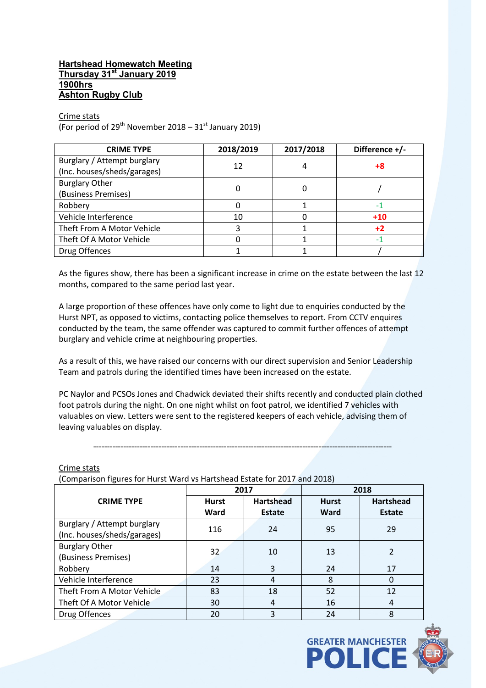# **Hartshead Homewatch Meeting Thursday 31st January 2019 1900hrs Ashton Rugby Club**

Crime stats

(For period of 29<sup>th</sup> November 2018 – 31<sup>st</sup> January 2019)

| <b>CRIME TYPE</b>           | 2018/2019 | 2017/2018 | Difference +/- |  |
|-----------------------------|-----------|-----------|----------------|--|
| Burglary / Attempt burglary | 12        | 4         | +8             |  |
| (Inc. houses/sheds/garages) |           |           |                |  |
| <b>Burglary Other</b>       |           | 0         |                |  |
| (Business Premises)         |           |           |                |  |
| Robbery                     |           |           |                |  |
| Vehicle Interference        | 10        |           | $+10$          |  |
| Theft From A Motor Vehicle  |           |           | $+2$           |  |
| Theft Of A Motor Vehicle    |           |           |                |  |
| Drug Offences               |           |           |                |  |

As the figures show, there has been a significant increase in crime on the estate between the last 12 months, compared to the same period last year.

A large proportion of these offences have only come to light due to enquiries conducted by the Hurst NPT, as opposed to victims, contacting police themselves to report. From CCTV enquires conducted by the team, the same offender was captured to commit further offences of attempt burglary and vehicle crime at neighbouring properties.

As a result of this, we have raised our concerns with our direct supervision and Senior Leadership Team and patrols during the identified times have been increased on the estate.

PC Naylor and PCSOs Jones and Chadwick deviated their shifts recently and conducted plain clothed foot patrols during the night. On one night whilst on foot patrol, we identified 7 vehicles with valuables on view. Letters were sent to the registered keepers of each vehicle, advising them of leaving valuables on display.

--------------------------------------------------------------------------------------------------------------

Crime stats

(Comparison figures for Hurst Ward vs Hartshead Estate for 2017 and 2018)

|                             | 2017         |                  | 2018         |                  |
|-----------------------------|--------------|------------------|--------------|------------------|
| <b>CRIME TYPE</b>           | <b>Hurst</b> | <b>Hartshead</b> | <b>Hurst</b> | <b>Hartshead</b> |
|                             | Ward         | <b>Estate</b>    | Ward         | <b>Estate</b>    |
| Burglary / Attempt burglary | 116          | 24               | 95           | 29               |
| (Inc. houses/sheds/garages) |              |                  |              |                  |
| <b>Burglary Other</b>       | 32           | 10               | 13           | 2                |
| (Business Premises)         |              |                  |              |                  |
| Robbery                     | 14           | 3                | 24           | 17               |
| Vehicle Interference        | 23           | 4                | 8            | $\Omega$         |
| Theft From A Motor Vehicle  | 83           | 18               | 52           | 12               |
| Theft Of A Motor Vehicle    | 30           | 4                | 16           | 4                |
| Drug Offences               | 20           | 3                | 24           | 8                |